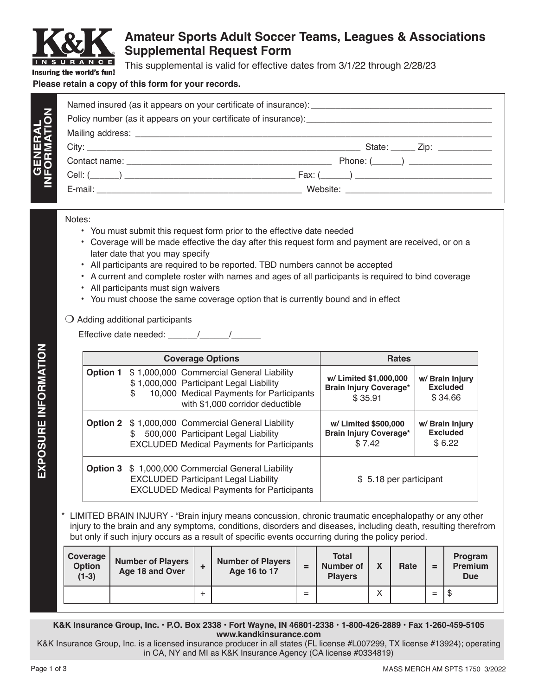

**GENERAL**

GENERAL

## **Amateur Sports Adult Soccer Teams, Leagues & Associations Supplemental Request Form**

This supplemental is valid for effective dates from 3/1/22 through 2/28/23

## **Please retain a copy of this form for your records.**

| State: $\qquad \qquad \text{Zip:}$                |
|---------------------------------------------------|
| Phone: $(\_\_)$                                   |
| $\boxed{\mathsf{Fax:}(\_\_\_\_\_)\_\_\_\_\_\_\_}$ |
| Website: <u>_______________________</u>           |

## Notes:

- You must submit this request form prior to the effective date needed
- Coverage will be made effective the day after this request form and payment are received, or on a later date that you may specify
- All participants are required to be reported. TBD numbers cannot be accepted
- A current and complete roster with names and ages of all participants is required to bind coverage
- All participants must sign waivers
- You must choose the same coverage option that is currently bound and in effect

## $\bigcirc$  Adding additional participants

Effective date needed:  $\frac{1}{2}$ 

|                 | <b>Coverage Options</b>                                                                                                                                                    | <b>Rates</b>                                                       |                                               |  |  |
|-----------------|----------------------------------------------------------------------------------------------------------------------------------------------------------------------------|--------------------------------------------------------------------|-----------------------------------------------|--|--|
| <b>Option 1</b> | \$1,000,000 Commercial General Liability<br>\$1,000,000 Participant Legal Liability<br>10,000 Medical Payments for Participants<br>\$.<br>with \$1,000 corridor deductible | w/ Limited \$1,000,000<br><b>Brain Injury Coverage*</b><br>\$35.91 | w/ Brain Injury<br><b>Excluded</b><br>\$34.66 |  |  |
|                 | <b>Option 2</b> \$ 1,000,000 Commercial General Liability<br>500,000 Participant Legal Liability<br>S<br><b>EXCLUDED Medical Payments for Participants</b>                 | w/ Limited \$500,000<br><b>Brain Injury Coverage*</b><br>\$7.42    | w/ Brain Injury<br><b>Excluded</b><br>\$6.22  |  |  |
|                 | <b>Option 3</b> \$ 1,000,000 Commercial General Liability<br><b>EXCLUDED Participant Legal Liability</b><br><b>EXCLUDED Medical Payments for Participants</b>              | \$ 5.18 per participant                                            |                                               |  |  |

LIMITED BRAIN INJURY - "Brain injury means concussion, chronic traumatic encephalopathy or any other injury to the brain and any symptoms, conditions, disorders and diseases, including death, resulting therefrom but only if such injury occurs as a result of specific events occurring during the policy period.

| Coverage  <br>Option<br>$(1-3)$ | <b>Number of Players</b><br>Age 18 and Over |   | <b>Number of Players</b><br>Age 16 to 17 | ⋍ | <b>Total</b><br>Number of<br><b>Plavers</b> | $\mathbf v$<br>Λ  | Rate | =   | Program<br>Premium<br><b>Due</b> |
|---------------------------------|---------------------------------------------|---|------------------------------------------|---|---------------------------------------------|-------------------|------|-----|----------------------------------|
|                                 |                                             | - |                                          |   |                                             | $\checkmark$<br>⌒ |      | $=$ | Œ                                |

**K&K Insurance Group, Inc. • P.O. Box 2338 • Fort Wayne, IN 46801-2338 • 1-800-426-2889 • Fax 1-260-459-5105 www.kandkinsurance.com**

K&K Insurance Group, Inc. is a licensed insurance producer in all states (FL license #L007299, TX license #13924); operating in CA, NY and MI as K&K Insurance Agency (CA license #0334819)

**EXPOSURE INFORMATION**

EXPOSURE INFORMATION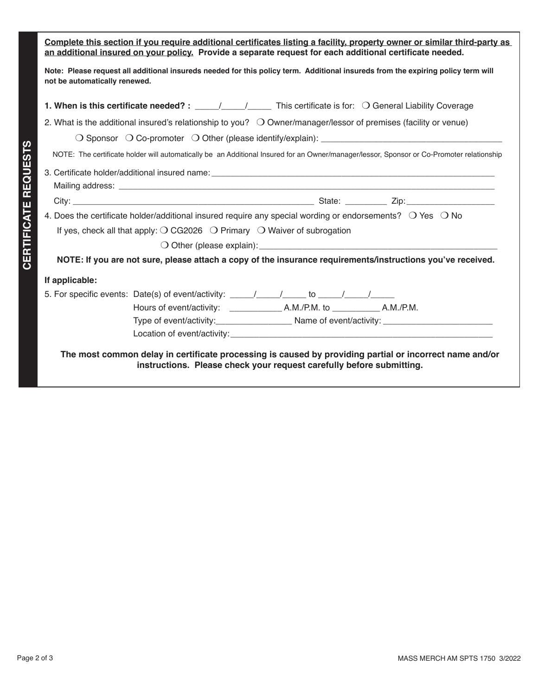| Complete this section if you require additional certificates listing a facility, property owner or similar third-party as<br>an additional insured on your policy. Provide a separate request for each additional certificate needed. |
|---------------------------------------------------------------------------------------------------------------------------------------------------------------------------------------------------------------------------------------|
| Note: Please request all additional insureds needed for this policy term. Additional insureds from the expiring policy term will<br>not be automatically renewed.                                                                     |
|                                                                                                                                                                                                                                       |
| 2. What is the additional insured's relationship to you? $\bigcirc$ Owner/manager/lessor of premises (facility or venue)                                                                                                              |
|                                                                                                                                                                                                                                       |
| NOTE: The certificate holder will automatically be an Additional Insured for an Owner/manager/lessor, Sponsor or Co-Promoter relationship                                                                                             |
|                                                                                                                                                                                                                                       |
|                                                                                                                                                                                                                                       |
| 4. Does the certificate holder/additional insured require any special wording or endorsements? $\bigcirc$ Yes $\bigcirc$ No                                                                                                           |
| If yes, check all that apply: $\bigcirc$ CG2026 $\bigcirc$ Primary $\bigcirc$ Waiver of subrogation                                                                                                                                   |
| O Other (please explain): example and the set of the set of the set of the set of the set of the set of the set of the set of the set of the set of the set of the set of the set of the set of the set of the set of the set         |
| NOTE: If you are not sure, please attach a copy of the insurance requirements/instructions you've received.                                                                                                                           |
| If applicable:                                                                                                                                                                                                                        |
| 5. For specific events: Date(s) of event/activity: $\frac{1}{\sqrt{2}}$ / $\frac{1}{\sqrt{2}}$ to $\frac{1}{\sqrt{2}}$                                                                                                                |
|                                                                                                                                                                                                                                       |
|                                                                                                                                                                                                                                       |
|                                                                                                                                                                                                                                       |
| The most common delay in certificate processing is caused by providing partial or incorrect name and/or<br>instructions. Please check your request carefully before submitting.                                                       |

**CERTIFICATE REQUESTS**

**CERTIFICATE REQUESTS**